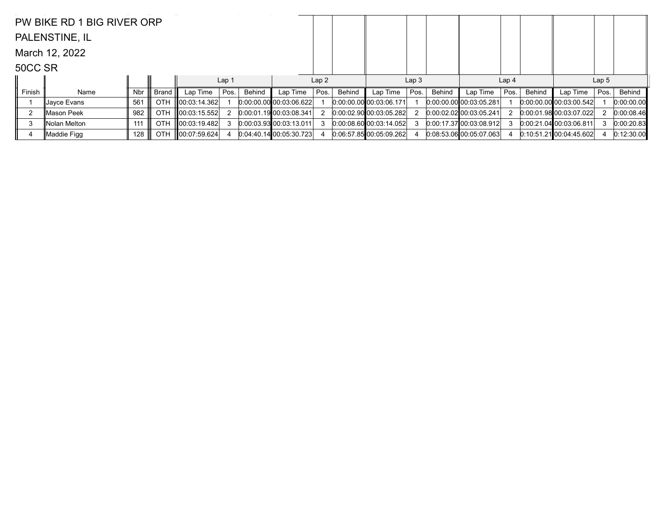|         | PW BIKE RD 1 BIG RIVER ORP |     |            |                    |                  |        |                         |      |        |                                |                  |        |                           |                  |        |                                |                  |            |
|---------|----------------------------|-----|------------|--------------------|------------------|--------|-------------------------|------|--------|--------------------------------|------------------|--------|---------------------------|------------------|--------|--------------------------------|------------------|------------|
|         | PALENSTINE, IL             |     |            |                    |                  |        |                         |      |        |                                |                  |        |                           |                  |        |                                |                  |            |
|         | March 12, 2022             |     |            |                    |                  |        |                         |      |        |                                |                  |        |                           |                  |        |                                |                  |            |
| 50CC SR |                            |     |            |                    |                  |        |                         |      |        |                                |                  |        |                           |                  |        |                                |                  |            |
|         |                            |     |            |                    | Lap <sub>1</sub> |        |                         | Lap2 |        |                                | Lap <sub>3</sub> |        |                           | Lap <sub>4</sub> |        |                                | Lap <sub>5</sub> |            |
| Finish  | Name                       | Nbr | Brand      | Lap Time           | Pos.             | Behind | Lap Time                | Pos. | Behind | Lap Time                       | Pos.             | Behind | Lap Time                  | Pos.             | Behind | Lap Time                       | Pos.             | Behind     |
|         | ∥Jaγce Evans               | 561 | <b>OTH</b> | 00:03:14.362       |                  |        | 0.00.00.00 00.03.06.622 |      |        | $[0:00:00.00]$ $00:03:06.171]$ |                  |        | $0:00:00.00$ 00:03:05.281 |                  |        | $[0.00:00.00]$ $[0.03:00.542]$ |                  | 0:00:00.00 |
|         | ∥Mason Peek                | 982 | OTH        | 00:03:15.552       |                  |        | 0:00:01.1900:03:08.341  |      |        | 0.00.02.90 00.03.05.282        |                  |        | 0.00.02.02100.03.05.241   |                  |        | 0.00.01.98 00.03.07.022        |                  | 0:00:08.46 |
| 3       | Nolan Melton               | 111 | <b>OTH</b> | 00:03:19.482       |                  |        | 0.00.03.93 00.03.13.011 |      |        | $0:00:08.60$ 00:03:14.052      |                  |        | 0.00:17.3700:03:08.912    |                  |        | 0.00:21.04 00:03:06.811        |                  | 0:00:20.83 |
| 4       | ∥Maddie Figg               | 128 | <b>OTH</b> | $\ 00:07:59.624\ $ |                  |        | 0:04:40.1400:05:30.723  |      |        | 0.06.57.8500.05.09.262         |                  |        | $0.08:53.06$ 00:05:07.063 |                  |        | $0:10:51.21$ 00:04:45.602      |                  | 0:12:30.00 |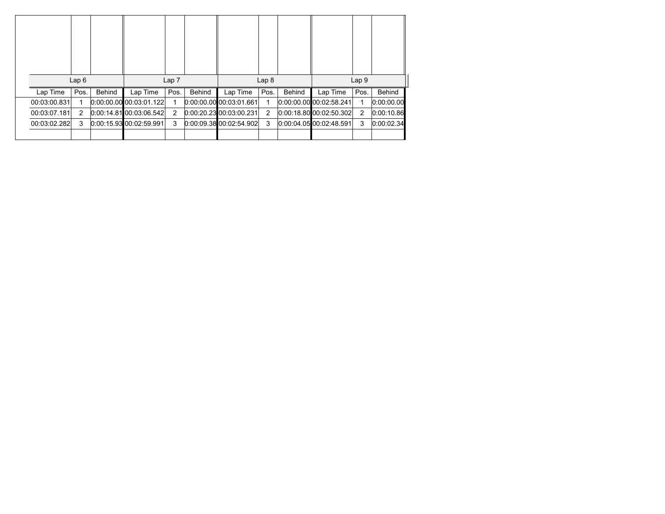|              | Lap6 |        |                                 | Lap <sub>7</sub> |               |                         | Lap <sub>8</sub> |        | Lap <sub>9</sub>          |      |               |  |  |
|--------------|------|--------|---------------------------------|------------------|---------------|-------------------------|------------------|--------|---------------------------|------|---------------|--|--|
| Lap Time     | Pos. | Behind | Lap Time                        | Pos.             | <b>Behind</b> | Lap Time                | Pos.             | Behind | Lap Time                  | Pos. | <b>Behind</b> |  |  |
| 00:03:00.831 |      |        | $[0:00:00.00]$ $[00:03:01.122]$ |                  |               | 0.00:00.00 00:03:01.661 |                  |        | 0.00:00.00 00:02:58.241   |      | 0:00:00.00    |  |  |
| 00:03:07.181 | 2    |        | $[0:00:14.81]$ 00:03:06.542     | 2                |               | 0.00:20.23 00:03:00.231 | 2                |        | [0.00:18.80]00:02:50.302] | 2    | 0:00:10.86    |  |  |
| 00:03:02.282 | 3    |        | 0:00:15.9300:02:59.991          | 3                |               | 0.00.09.38000.02.54.902 | 3                |        | 0.00:04.05 00:02:48.591   | 3    | 0:00:02.34    |  |  |
|              |      |        |                                 |                  |               |                         |                  |        |                           |      |               |  |  |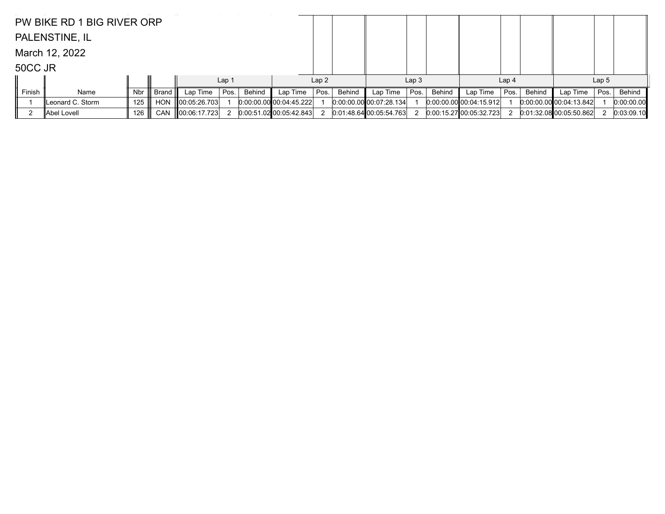|         | PW BIKE RD 1 BIG RIVER ORP |     |            |               |                  |        |                           |      |        |                           |                  |        |                           |                  |               |                            |                  |            |
|---------|----------------------------|-----|------------|---------------|------------------|--------|---------------------------|------|--------|---------------------------|------------------|--------|---------------------------|------------------|---------------|----------------------------|------------------|------------|
|         | PALENSTINE, IL             |     |            |               |                  |        |                           |      |        |                           |                  |        |                           |                  |               |                            |                  |            |
|         | March 12, 2022             |     |            |               |                  |        |                           |      |        |                           |                  |        |                           |                  |               |                            |                  |            |
| 50CC JR |                            |     |            |               |                  |        |                           |      |        |                           |                  |        |                           |                  |               |                            |                  |            |
|         |                            |     |            |               | Lap <sub>1</sub> |        |                           | Lap2 |        |                           | Lap <sub>3</sub> |        |                           | Lap <sub>4</sub> |               |                            | Lap <sub>5</sub> |            |
| Finish  | Name                       | Nbr | Brand      | Lap Time      | Pos.             | Behind | Lap Time                  | Pos. | Behind | Lap Time                  | Pos.             | Behind | Lap Time                  | Pos.             | <b>Behind</b> | Lap Time                   | Pos.             | Behind     |
|         | Leonard C. Storm           | 125 | <b>HON</b> | ∥00:05:26.703 |                  |        | $0:00:00.00$ 00:04:45.222 |      |        | $0:00.00.00$ 00:07:28.134 |                  |        | $0.00.00.00$ 00:04:15.912 |                  |               | [0.00.00.00, 00.04.13.842] |                  | 0:00:00.00 |
|         | Abel Lovell                | 126 | <b>CAN</b> | 00:06:17.723  |                  |        | $0:00:51.02$ 00:05:42.843 |      |        | $0.01:48.64$ 00:05:54.763 |                  |        | 0:00:15.2700:05:32.723    |                  |               | 0.01:32.08 00:05:50.862    |                  | 0:03:09.10 |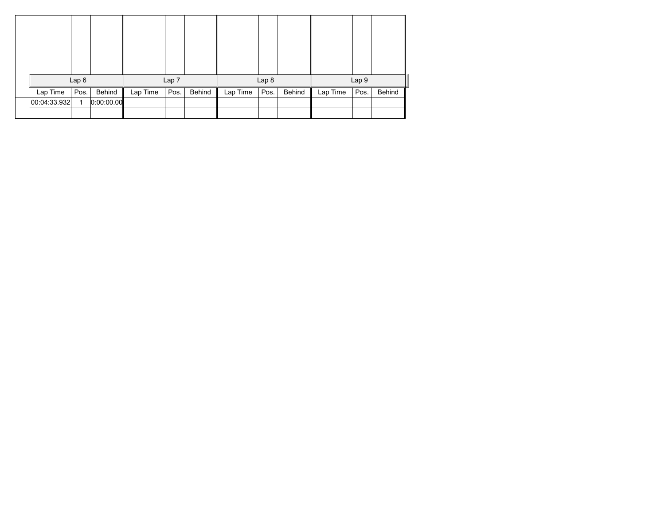|              | Lap6 |            |          | Lap 7 |        |          | Lap 8 |        |          | Lap 9 |        |
|--------------|------|------------|----------|-------|--------|----------|-------|--------|----------|-------|--------|
| Lap Time     | Pos. | Behind     | Lap Time | Pos.  | Behind | Lap Time | Pos.  | Behind | Lap Time | Pos.  | Behind |
| 00:04:33.932 | 1    | 0:00:00.00 |          |       |        |          |       |        |          |       |        |
|              |      |            |          |       |        |          |       |        |          |       |        |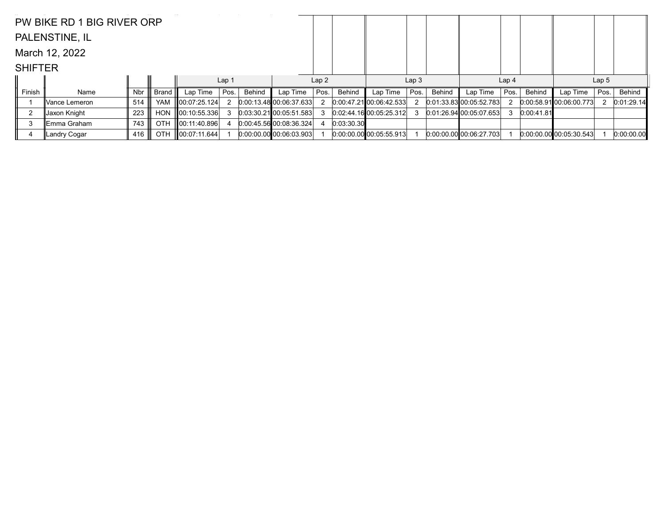|                | PW BIKE RD 1 BIG RIVER ORP |     |            |                    |                  |               |                           |      |            |                                 |                  |        |                         |                  |            |                             |                  |            |
|----------------|----------------------------|-----|------------|--------------------|------------------|---------------|---------------------------|------|------------|---------------------------------|------------------|--------|-------------------------|------------------|------------|-----------------------------|------------------|------------|
|                | PALENSTINE, IL             |     |            |                    |                  |               |                           |      |            |                                 |                  |        |                         |                  |            |                             |                  |            |
|                | March 12, 2022             |     |            |                    |                  |               |                           |      |            |                                 |                  |        |                         |                  |            |                             |                  |            |
| <b>SHIFTER</b> |                            |     |            |                    |                  |               |                           |      |            |                                 |                  |        |                         |                  |            |                             |                  |            |
|                |                            |     |            |                    | Lap <sub>1</sub> |               |                           | Lap2 |            |                                 | Lap <sub>3</sub> |        |                         | Lap <sub>4</sub> |            |                             | Lap <sub>5</sub> |            |
| Finish         | Name                       | Nbr | Brand      | Lap Time           | Pos.             | <b>Behind</b> | Lap Time                  | Pos. | Behind     | Lap Time                        | Pos.             | Behind | Lap Time                | Pos.             | Behind     | Lap Time                    | Pos.             | Behind     |
|                | ∥Vance Lemeron             | 514 | <b>YAM</b> | 00:07:25.124       |                  |               | 0:00:13.4800:06:37.633    |      |            | 0.004721000642533               |                  |        | 0.01:33.83 00:05:52.783 |                  |            | $[0.00:58.91]$ 00:06:00.773 |                  | 0:01:29.14 |
| $\overline{2}$ | Jaxon Knight               | 223 | <b>HON</b> | $\ 00:10:55.336\ $ |                  |               | $0:03:30.21$ 00:05:51.583 |      |            | 0:02:44.1600:05:25.312          |                  |        | 0.01:26.9400:05:07.653  | 3                | 0:00:41.81 |                             |                  |            |
| 3              | ∥Emma Graham               | 743 | <b>OTH</b> | 00:11:40.896       |                  |               | 0.00.45.56000.0836.324    |      | 0:03:30.30 |                                 |                  |        |                         |                  |            |                             |                  |            |
| 4              | Landry Cogar               | 416 | OTH.       | $\ 00:07:11.644\ $ |                  |               | 0:00:00.00 00:06:03.903   |      |            | $[0:00:00.00]$ $[00:05:55.913]$ |                  |        | 0.00.00.00 00.06.27.703 |                  |            | $[0.00:00.00]$ 00:05:30.543 |                  | 0:00:00.00 |